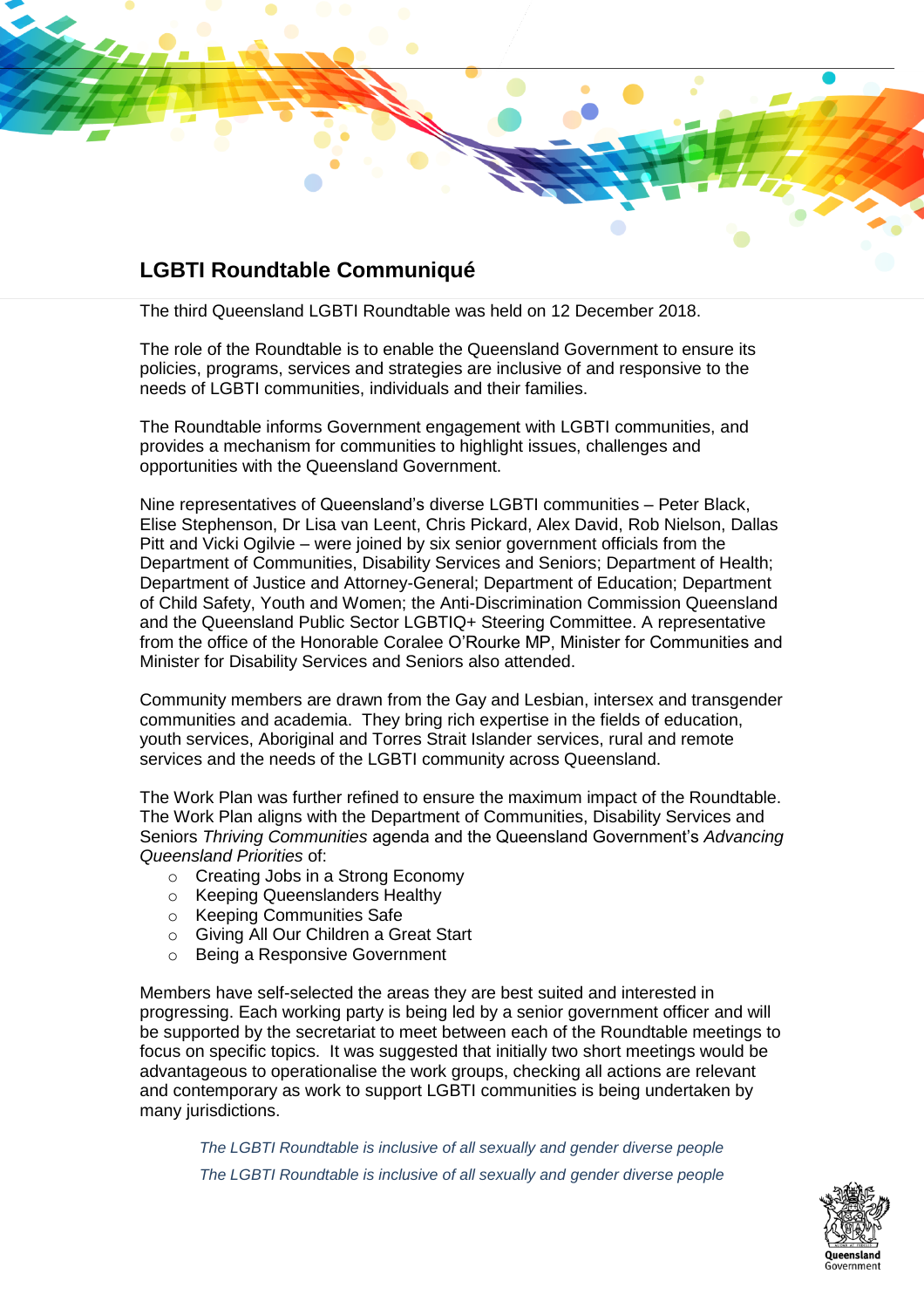## **LGBTI Roundtable Communiqué**

The third Queensland LGBTI Roundtable was held on 12 December 2018.

The role of the Roundtable is to enable the Queensland Government to ensure its policies, programs, services and strategies are inclusive of and responsive to the needs of LGBTI communities, individuals and their families.

The Roundtable informs Government engagement with LGBTI communities, and provides a mechanism for communities to highlight issues, challenges and opportunities with the Queensland Government.

Nine representatives of Queensland's diverse LGBTI communities – Peter Black, Elise Stephenson, Dr Lisa van Leent, Chris Pickard, Alex David, Rob Nielson, Dallas Pitt and Vicki Ogilvie – were joined by six senior government officials from the Department of Communities, Disability Services and Seniors; Department of Health; Department of Justice and Attorney-General; Department of Education; Department of Child Safety, Youth and Women; the Anti-Discrimination Commission Queensland and the Queensland Public Sector LGBTIQ+ Steering Committee. A representative from the office of the Honorable Coralee O'Rourke MP, Minister for Communities and Minister for Disability Services and Seniors also attended.

Community members are drawn from the Gay and Lesbian, intersex and transgender communities and academia. They bring rich expertise in the fields of education, youth services, Aboriginal and Torres Strait Islander services, rural and remote services and the needs of the LGBTI community across Queensland.

The Work Plan was further refined to ensure the maximum impact of the Roundtable. The Work Plan aligns with the Department of Communities, Disability Services and Seniors *Thriving Communities* agenda and the Queensland Government's *Advancing Queensland Priorities* of:

- o Creating Jobs in a Strong Economy
- o Keeping Queenslanders Healthy
- o Keeping Communities Safe
- o Giving All Our Children a Great Start
- o Being a Responsive Government

Members have self-selected the areas they are best suited and interested in progressing. Each working party is being led by a senior government officer and will be supported by the secretariat to meet between each of the Roundtable meetings to focus on specific topics. It was suggested that initially two short meetings would be advantageous to operationalise the work groups, checking all actions are relevant and contemporary as work to support LGBTI communities is being undertaken by many jurisdictions.

*The LGBTI Roundtable is inclusive of all sexually and gender diverse people The LGBTI Roundtable is inclusive of all sexually and gender diverse people*